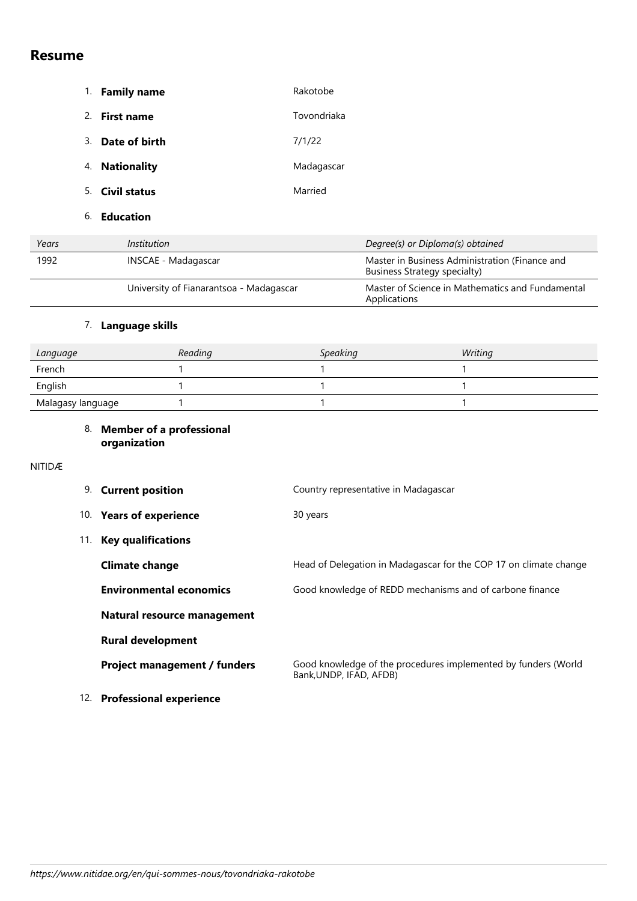# **Resume**

|                          | <b>Family name</b><br>1. | Rakotobe                         |
|--------------------------|--------------------------|----------------------------------|
|                          | 2.<br><b>First name</b>  | Tovondriaka                      |
|                          | Date of birth<br>3.      | 7/1/22                           |
|                          | <b>Nationality</b><br>4. | Madagascar                       |
|                          | 5. Civil status          | Married                          |
|                          | 6.<br><b>Education</b>   |                                  |
| Years                    | Institution              | Degree(s) or Diploma(s) obtained |
| $\overline{\phantom{a}}$ | $\cdots$                 |                                  |

| 1992 | INSCAE - Madagascar                     | Master in Business Administration (Finance and<br>Business Strategy specialty) |
|------|-----------------------------------------|--------------------------------------------------------------------------------|
|      | University of Fianarantsoa - Madagascar | Master of Science in Mathematics and Fundamental<br>Applications               |

## 7. **Language skills**

| Language          | Reading | <b>Speaking</b> | Writing |
|-------------------|---------|-----------------|---------|
| French            |         |                 |         |
| English           |         |                 |         |
| Malagasy language |         |                 |         |

### 8. **Member of a professional organization**

#### NITIDÆ

| 9.  | <b>Current position</b>             | Country representative in Madagascar                                                      |
|-----|-------------------------------------|-------------------------------------------------------------------------------------------|
|     | 10. Years of experience             | 30 years                                                                                  |
| 11. | <b>Key qualifications</b>           |                                                                                           |
|     | <b>Climate change</b>               | Head of Delegation in Madagascar for the COP 17 on climate change                         |
|     | <b>Environmental economics</b>      | Good knowledge of REDD mechanisms and of carbone finance                                  |
|     | Natural resource management         |                                                                                           |
|     | <b>Rural development</b>            |                                                                                           |
|     | <b>Project management / funders</b> | Good knowledge of the procedures implemented by funders (World<br>Bank, UNDP, IFAD, AFDB) |
| 12. | <b>Professional experience</b>      |                                                                                           |